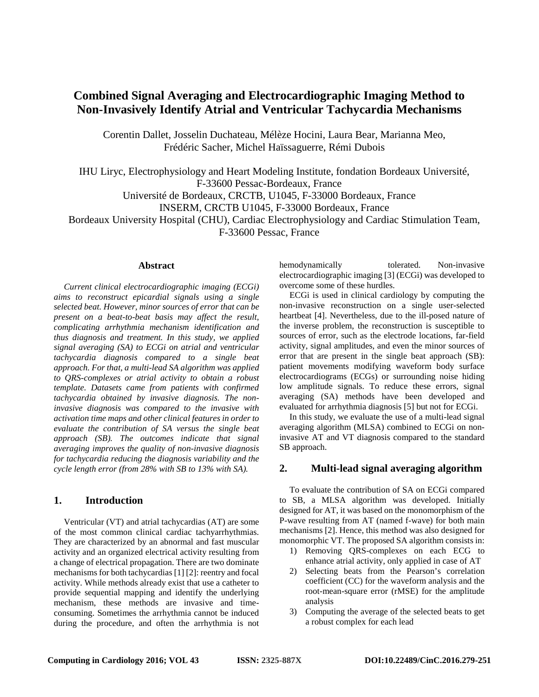# **Combined Signal Averaging and Electrocardiographic Imaging Method to Non-Invasively Identify Atrial and Ventricular Tachycardia Mechanisms**

Corentin Dallet, Josselin Duchateau, Mélèze Hocini, Laura Bear, Marianna Meo, Frédéric Sacher, Michel Haïssaguerre, Rémi Dubois

IHU Liryc, Electrophysiology and Heart Modeling Institute, fondation Bordeaux Université, F-33600 Pessac-Bordeaux, France Université de Bordeaux, CRCTB, U1045, F-33000 Bordeaux, France INSERM, CRCTB U1045, F-33000 Bordeaux, France Bordeaux University Hospital (CHU), Cardiac Electrophysiology and Cardiac Stimulation Team, F-33600 Pessac, France

## **Abstract**

*Current clinical electrocardiographic imaging (ECGi) aims to reconstruct epicardial signals using a single selected beat. However, minor sources of error that can be present on a beat-to-beat basis may affect the result, complicating arrhythmia mechanism identification and thus diagnosis and treatment. In this study, we applied signal averaging (SA) to ECGi on atrial and ventricular tachycardia diagnosis compared to a single beat approach. For that, a multi-lead SA algorithm was applied to QRS-complexes or atrial activity to obtain a robust template. Datasets came from patients with confirmed tachycardia obtained by invasive diagnosis. The noninvasive diagnosis was compared to the invasive with activation time maps and other clinical features in order to evaluate the contribution of SA versus the single beat approach (SB). The outcomes indicate that signal averaging improves the quality of non-invasive diagnosis for tachycardia reducing the diagnosis variability and the cycle length error (from 28% with SB to 13% with SA).*

# **1. Introduction**

Ventricular (VT) and atrial tachycardias (AT) are some of the most common clinical cardiac tachyarrhythmias. They are characterized by an abnormal and fast muscular activity and an organized electrical activity resulting from a change of electrical propagation. There are two dominate mechanisms for both tachycardias [\[1\]](#page-3-0) [\[2\]:](#page-3-1) reentry and focal activity. While methods already exist that use a catheter to provide sequential mapping and identify the underlying mechanism, these methods are invasive and timeconsuming. Sometimes the arrhythmia cannot be induced during the procedure, and often the arrhythmia is not

hemodynamically tolerated. Non-invasive electrocardiographic imagin[g \[3\] \(](#page-3-2)ECGi) was developed to overcome some of these hurdles.

ECGi is used in clinical cardiology by computing the non-invasive reconstruction on a single user-selected heartbeat [\[4\].](#page-3-3) Nevertheless, due to the ill-posed nature of the inverse problem, the reconstruction is susceptible to sources of error, such as the electrode locations, far-field activity, signal amplitudes, and even the minor sources of error that are present in the single beat approach (SB): patient movements modifying waveform body surface electrocardiograms (ECGs) or surrounding noise hiding low amplitude signals. To reduce these errors, signal averaging (SA) methods have been developed and evaluated for arrhythmia diagnosis [\[5\]](#page-3-4) but not for ECGi.

In this study, we evaluate the use of a multi-lead signal averaging algorithm (MLSA) combined to ECGi on noninvasive AT and VT diagnosis compared to the standard SB approach.

## **2. Multi-lead signal averaging algorithm**

To evaluate the contribution of SA on ECGi compared to SB, a MLSA algorithm was developed. Initially designed for AT, it was based on the monomorphism of the P-wave resulting from AT (named f-wave) for both main mechanisms [\[2\].](#page-3-1) Hence, this method was also designed for monomorphic VT. The proposed SA algorithm consists in:

- 1) Removing QRS-complexes on each ECG to enhance atrial activity, only applied in case of AT
- 2) Selecting beats from the Pearson's correlation coefficient (CC) for the waveform analysis and the root-mean-square error (rMSE) for the amplitude analysis
- 3) Computing the average of the selected beats to get a robust complex for each lead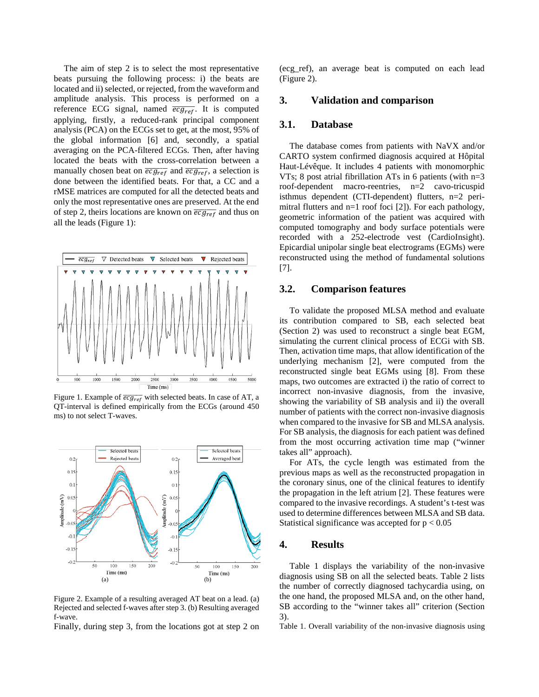The aim of step 2 is to select the most representative beats pursuing the following process: i) the beats are located and ii) selected, or rejected, from the waveform and amplitude analysis. This process is performed on a reference ECG signal, named  $\overline{ecg_{ref}}$ . It is computed applying, firstly, a reduced-rank principal component analysis (PCA) on the ECGs set to get, at the most, 95% of the global information [\[6\]](#page-3-5) and, secondly, a spatial averaging on the PCA-filtered ECGs. Then, after having located the beats with the cross-correlation between a manually chosen beat on  $\overline{ecg_{ref}}$  and  $\overline{ecg_{ref}}$ , a selection is done between the identified beats. For that, a CC and a rMSE matrices are computed for all the detected beats and only the most representative ones are preserved. At the end of step 2, theirs locations are known on  $\overline{ecg_{ref}}$  and thus on all the leads [\(Figure 1\)](#page-1-0):



<span id="page-1-0"></span>Figure 1. Example of  $\overline{ecg_{ref}}$  with selected beats. In case of AT, a QT-interval is defined empirically from the ECGs (around 450 ms) to not select T-waves.



Figure 2. Example of a resulting averaged AT beat on a lead. (a) Rejected and selected f-waves after step 3. (b) Resulting averaged f-wave.

Finally, during step 3, from the locations got at step 2 on

(ecg\_ref), an average beat is computed on each lead (Figure 2).

#### **3. Validation and comparison**

### **3.1. Database**

The database comes from patients with NaVX and/or CARTO system confirmed diagnosis acquired at Hôpital Haut-Lévêque. It includes 4 patients with monomorphic VTs; 8 post atrial fibrillation ATs in 6 patients (with  $n=3$ roof-dependent macro-reentries, n=2 cavo-tricuspid isthmus dependent (CTI-dependent) flutters, n=2 perimitral flutters and n=1 roof foci [\[2\]\)](#page-3-1). For each pathology, geometric information of the patient was acquired with computed tomography and body surface potentials were recorded with a 252-electrode vest (CardioInsight). Epicardial unipolar single beat electrograms (EGMs) were reconstructed using the method of fundamental solutions [\[7\].](#page-3-6)

#### **3.2. Comparison features**

To validate the proposed MLSA method and evaluate its contribution compared to SB, each selected beat (Section 2) was used to reconstruct a single beat EGM, simulating the current clinical process of ECGi with SB. Then, activation time maps, that allow identification of the underlying mechanism [\[2\],](#page-3-1) were computed from the reconstructed single beat EGMs using [\[8\].](#page-3-7) From these maps, two outcomes are extracted i) the ratio of correct to incorrect non-invasive diagnosis, from the invasive, showing the variability of SB analysis and ii) the overall number of patients with the correct non-invasive diagnosis when compared to the invasive for SB and MLSA analysis. For SB analysis, the diagnosis for each patient was defined from the most occurring activation time map ("winner takes all" approach).

For ATs, the cycle length was estimated from the previous maps as well as the reconstructed propagation in the coronary sinus, one of the clinical features to identify the propagation in the left atrium [\[2\].](#page-3-1) These features were compared to the invasive recordings. A student's t-test was used to determine differences between MLSA and SB data. Statistical significance was accepted for  $p < 0.05$ 

# **4. Results**

Table 1 displays the variability of the non-invasive diagnosis using SB on all the selected beats. Table 2 lists the number of correctly diagnosed tachycardia using, on the one hand, the proposed MLSA and, on the other hand, SB according to the "winner takes all" criterion (Section 3).

Table 1. Overall variability of the non-invasive diagnosis using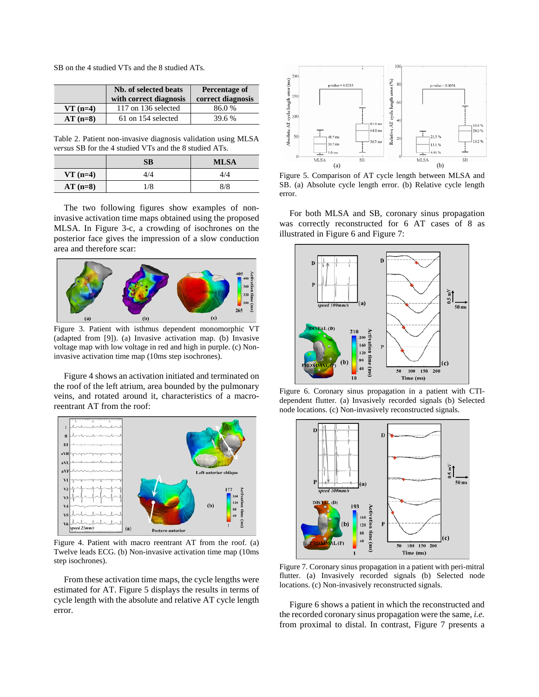SB on the 4 studied VTs and the 8 studied ATs.

|           | Nb. of selected beats<br>with correct diagnosis | Percentage of<br>correct diagnosis |
|-----------|-------------------------------------------------|------------------------------------|
| $VT(n=4)$ | 117 on 136 selected                             | 86.0%                              |
| $AT(n=8)$ | 61 on 154 selected                              | 39.6 %                             |

Table 2. Patient non-invasive diagnosis validation using MLSA *versus* SB for the 4 studied VTs and the 8 studied ATs.

|            | SB  | <b>MLSA</b> |
|------------|-----|-------------|
| $VT$ (n=4) | 4/4 | 4/4         |
| $AT(n=8)$  | 1/8 | 8/8         |

The two following figures show examples of noninvasive activation time maps obtained using the proposed MLSA. In [Figure 3-](#page-2-0)c, a crowding of isochrones on the posterior face gives the impression of a slow conduction area and therefore scar:



<span id="page-2-0"></span>Figure 3. Patient with isthmus dependent monomorphic VT (adapted from [\[9\]\)](#page-3-8). (a) Invasive activation map. (b) Invasive voltage map with low voltage in red and high in purple. (c) Noninvasive activation time map (10ms step isochrones).

[Figure 4](#page-2-1) shows an activation initiated and terminated on the roof of the left atrium, area bounded by the pulmonary veins, and rotated around it, characteristics of a macroreentrant AT from the roof:



<span id="page-2-1"></span>Figure 4. Patient with macro reentrant AT from the roof. (a) Twelve leads ECG. (b) Non-invasive activation time map (10ms step isochrones).

From these activation time maps, the cycle lengths were estimated for AT. [Figure 5](#page-2-2) displays the results in terms of cycle length with the absolute and relative AT cycle length error.



<span id="page-2-2"></span>Figure 5. Comparison of AT cycle length between MLSA and SB. (a) Absolute cycle length error. (b) Relative cycle length error.

For both MLSA and SB, coronary sinus propagation was correctly reconstructed for 6 AT cases of 8 as illustrated in [Figure 6](#page-2-3) and [Figure 7:](#page-2-4)



<span id="page-2-3"></span>Figure 6. Coronary sinus propagation in a patient with CTIdependent flutter. (a) Invasively recorded signals (b) Selected node locations. (c) Non-invasively reconstructed signals.



<span id="page-2-4"></span>Figure 7. Coronary sinus propagation in a patient with peri-mitral flutter. (a) Invasively recorded signals (b) Selected node locations. (c) Non-invasively reconstructed signals.

[Figure 6](#page-2-3) shows a patient in which the reconstructed and the recorded coronary sinus propagation were the same, *i.e.* from proximal to distal. In contrast, [Figure 7](#page-2-4) presents a